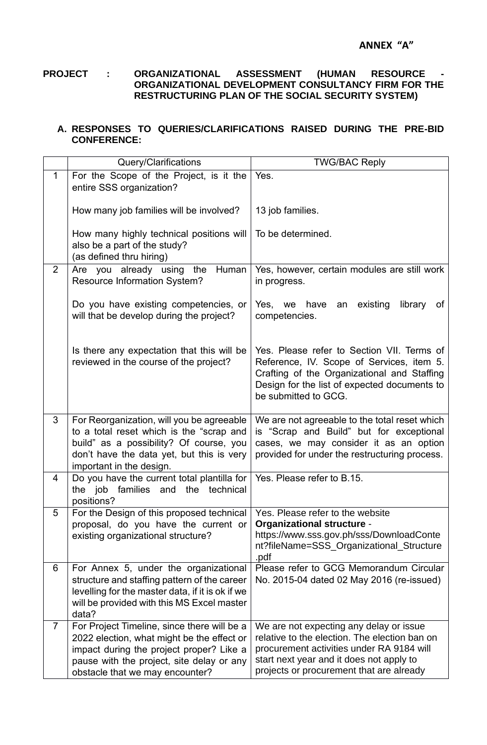## **PROJECT : ORGANIZATIONAL ASSESSMENT (HUMAN RESOURCE - ORGANIZATIONAL DEVELOPMENT CONSULTANCY FIRM FOR THE RESTRUCTURING PLAN OF THE SOCIAL SECURITY SYSTEM)**

## **A. RESPONSES TO QUERIES/CLARIFICATIONS RAISED DURING THE PRE-BID CONFERENCE:**

|                | Query/Clarifications                                                                                                                                                                                                  | <b>TWG/BAC Reply</b>                                                                                                                                                                                                          |  |  |  |
|----------------|-----------------------------------------------------------------------------------------------------------------------------------------------------------------------------------------------------------------------|-------------------------------------------------------------------------------------------------------------------------------------------------------------------------------------------------------------------------------|--|--|--|
| $\mathbf{1}$   | For the Scope of the Project, is it the<br>entire SSS organization?                                                                                                                                                   | Yes.                                                                                                                                                                                                                          |  |  |  |
|                | How many job families will be involved?                                                                                                                                                                               | 13 job families.                                                                                                                                                                                                              |  |  |  |
|                | How many highly technical positions will<br>also be a part of the study?<br>(as defined thru hiring)                                                                                                                  | To be determined.                                                                                                                                                                                                             |  |  |  |
| $\overline{2}$ | already using<br>Human<br>Are you<br>the<br><b>Resource Information System?</b>                                                                                                                                       | Yes, however, certain modules are still work<br>in progress.                                                                                                                                                                  |  |  |  |
|                | Do you have existing competencies, or<br>will that be develop during the project?                                                                                                                                     | existing<br>Yes, we have<br>library<br>an<br>of<br>competencies.                                                                                                                                                              |  |  |  |
|                | Is there any expectation that this will be<br>reviewed in the course of the project?                                                                                                                                  | Yes. Please refer to Section VII. Terms of<br>Reference, IV. Scope of Services, item 5.<br>Crafting of the Organizational and Staffing<br>Design for the list of expected documents to<br>be submitted to GCG.                |  |  |  |
| 3              | For Reorganization, will you be agreeable<br>to a total reset which is the "scrap and<br>build" as a possibility? Of course, you<br>don't have the data yet, but this is very<br>important in the design.             | We are not agreeable to the total reset which<br>is "Scrap and Build" but for exceptional<br>cases, we may consider it as an option<br>provided for under the restructuring process.                                          |  |  |  |
| $\overline{4}$ | Do you have the current total plantilla for<br>the job families<br>the<br>and<br>technical<br>positions?                                                                                                              | Yes. Please refer to B.15.                                                                                                                                                                                                    |  |  |  |
| 5              | For the Design of this proposed technical<br>proposal, do you have the current or<br>existing organizational structure?                                                                                               | Yes. Please refer to the website<br><b>Organizational structure -</b><br>https://www.sss.gov.ph/sss/DownloadConte<br>nt?fileName=SSS_Organizational_Structure<br>.pdf                                                         |  |  |  |
| 6              | For Annex 5, under the organizational<br>structure and staffing pattern of the career<br>levelling for the master data, if it is ok if we<br>will be provided with this MS Excel master<br>data?                      | Please refer to GCG Memorandum Circular<br>No. 2015-04 dated 02 May 2016 (re-issued)                                                                                                                                          |  |  |  |
| $\overline{7}$ | For Project Timeline, since there will be a<br>2022 election, what might be the effect or<br>impact during the project proper? Like a<br>pause with the project, site delay or any<br>obstacle that we may encounter? | We are not expecting any delay or issue<br>relative to the election. The election ban on<br>procurement activities under RA 9184 will<br>start next year and it does not apply to<br>projects or procurement that are already |  |  |  |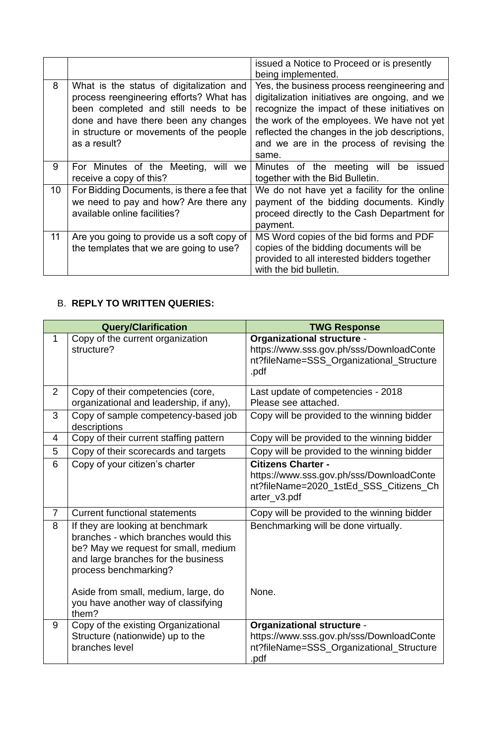|    |                                                                                                                                                                                                                                | issued a Notice to Proceed or is presently<br>being implemented.                                                                                                                                                                                                                                    |  |  |  |
|----|--------------------------------------------------------------------------------------------------------------------------------------------------------------------------------------------------------------------------------|-----------------------------------------------------------------------------------------------------------------------------------------------------------------------------------------------------------------------------------------------------------------------------------------------------|--|--|--|
| 8  | What is the status of digitalization and<br>process reengineering efforts? What has<br>been completed and still needs to be<br>done and have there been any changes<br>in structure or movements of the people<br>as a result? | Yes, the business process reengineering and<br>digitalization initiatives are ongoing, and we<br>recognize the impact of these initiatives on<br>the work of the employees. We have not yet<br>reflected the changes in the job descriptions,<br>and we are in the process of revising the<br>same. |  |  |  |
| 9  | For Minutes of the Meeting, will we<br>receive a copy of this?                                                                                                                                                                 | Minutes of the meeting will<br>be<br>issued<br>together with the Bid Bulletin.                                                                                                                                                                                                                      |  |  |  |
| 10 | For Bidding Documents, is there a fee that<br>we need to pay and how? Are there any<br>available online facilities?                                                                                                            | We do not have yet a facility for the online<br>payment of the bidding documents. Kindly<br>proceed directly to the Cash Department for<br>payment.                                                                                                                                                 |  |  |  |
| 11 | Are you going to provide us a soft copy of<br>the templates that we are going to use?                                                                                                                                          | MS Word copies of the bid forms and PDF<br>copies of the bidding documents will be<br>provided to all interested bidders together<br>with the bid bulletin.                                                                                                                                         |  |  |  |

## B. **REPLY TO WRITTEN QUERIES:**

| <b>Query/Clarification</b> |                                                                                                                                                                                  | <b>TWG Response</b>                                                                                                               |  |  |  |
|----------------------------|----------------------------------------------------------------------------------------------------------------------------------------------------------------------------------|-----------------------------------------------------------------------------------------------------------------------------------|--|--|--|
| $\mathbf{1}$               | Copy of the current organization<br>structure?                                                                                                                                   | <b>Organizational structure -</b><br>https://www.sss.gov.ph/sss/DownloadConte<br>nt?fileName=SSS_Organizational_Structure<br>.pdf |  |  |  |
| $\overline{2}$             | Copy of their competencies (core,<br>organizational and leadership, if any),                                                                                                     | Last update of competencies - 2018<br>Please see attached.                                                                        |  |  |  |
| 3                          | Copy of sample competency-based job<br>descriptions                                                                                                                              | Copy will be provided to the winning bidder                                                                                       |  |  |  |
| 4                          | Copy of their current staffing pattern                                                                                                                                           | Copy will be provided to the winning bidder                                                                                       |  |  |  |
| 5                          | Copy of their scorecards and targets                                                                                                                                             | Copy will be provided to the winning bidder                                                                                       |  |  |  |
| 6                          | Copy of your citizen's charter                                                                                                                                                   | <b>Citizens Charter -</b><br>https://www.sss.gov.ph/sss/DownloadConte<br>nt?fileName=2020_1stEd_SSS_Citizens_Ch<br>arter_v3.pdf   |  |  |  |
| $\overline{7}$             | <b>Current functional statements</b>                                                                                                                                             | Copy will be provided to the winning bidder                                                                                       |  |  |  |
| 8                          | If they are looking at benchmark<br>branches - which branches would this<br>be? May we request for small, medium<br>and large branches for the business<br>process benchmarking? | Benchmarking will be done virtually.                                                                                              |  |  |  |
|                            | Aside from small, medium, large, do<br>you have another way of classifying<br>them?                                                                                              | None.                                                                                                                             |  |  |  |
| 9                          | Copy of the existing Organizational<br>Structure (nationwide) up to the<br>branches level                                                                                        | <b>Organizational structure -</b><br>https://www.sss.gov.ph/sss/DownloadConte<br>nt?fileName=SSS_Organizational_Structure<br>.pdf |  |  |  |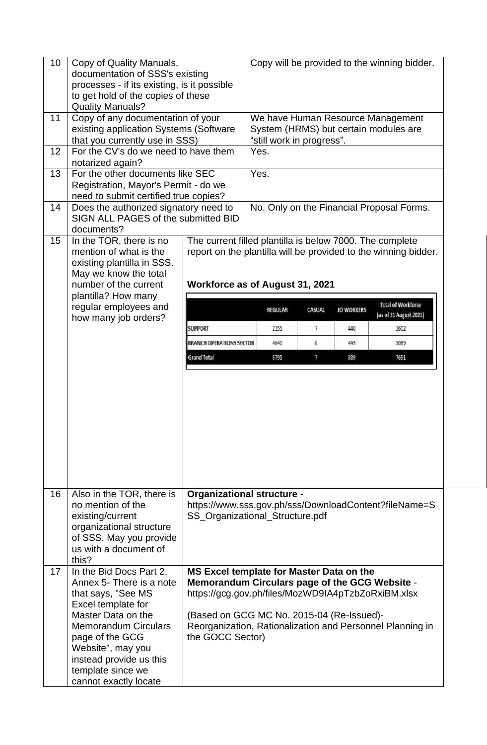| 10                                                                                                                                                                                                                            | Copy of Quality Manuals,<br>documentation of SSS's existing<br>processes - if its existing, is it possible<br>to get hold of the copies of these<br><b>Quality Manuals?</b> |                                                                                                                                                                                               | Copy will be provided to the winning bidder.                                                            |                |        |                   |                                |  |
|-------------------------------------------------------------------------------------------------------------------------------------------------------------------------------------------------------------------------------|-----------------------------------------------------------------------------------------------------------------------------------------------------------------------------|-----------------------------------------------------------------------------------------------------------------------------------------------------------------------------------------------|---------------------------------------------------------------------------------------------------------|----------------|--------|-------------------|--------------------------------|--|
| 11                                                                                                                                                                                                                            | Copy of any documentation of your<br>existing application Systems (Software<br>that you currently use in SSS)                                                               |                                                                                                                                                                                               | We have Human Resource Management<br>System (HRMS) but certain modules are<br>"still work in progress". |                |        |                   |                                |  |
| 12                                                                                                                                                                                                                            | For the CV's do we need to have them                                                                                                                                        |                                                                                                                                                                                               |                                                                                                         | Yes.           |        |                   |                                |  |
| 13                                                                                                                                                                                                                            | notarized again?<br>For the other documents like SEC                                                                                                                        |                                                                                                                                                                                               | Yes.                                                                                                    |                |        |                   |                                |  |
|                                                                                                                                                                                                                               | Registration, Mayor's Permit - do we                                                                                                                                        |                                                                                                                                                                                               |                                                                                                         |                |        |                   |                                |  |
| 14                                                                                                                                                                                                                            | need to submit certified true copies?                                                                                                                                       |                                                                                                                                                                                               | No. Only on the Financial Proposal Forms.                                                               |                |        |                   |                                |  |
|                                                                                                                                                                                                                               | Does the authorized signatory need to<br>SIGN ALL PAGES of the submitted BID<br>documents?                                                                                  |                                                                                                                                                                                               |                                                                                                         |                |        |                   |                                |  |
| 15                                                                                                                                                                                                                            | In the TOR, there is no                                                                                                                                                     | The current filled plantilla is below 7000. The complete                                                                                                                                      |                                                                                                         |                |        |                   |                                |  |
|                                                                                                                                                                                                                               | mention of what is the<br>existing plantilla in SSS.                                                                                                                        | report on the plantilla will be provided to the winning bidder.                                                                                                                               |                                                                                                         |                |        |                   |                                |  |
|                                                                                                                                                                                                                               | May we know the total                                                                                                                                                       |                                                                                                                                                                                               |                                                                                                         |                |        |                   |                                |  |
|                                                                                                                                                                                                                               | number of the current                                                                                                                                                       | Workforce as of August 31, 2021                                                                                                                                                               |                                                                                                         |                |        |                   |                                |  |
|                                                                                                                                                                                                                               | plantilla? How many<br>regular employees and                                                                                                                                |                                                                                                                                                                                               |                                                                                                         | <b>REGULAR</b> | CASUAL | <b>JO WORKERS</b> | <b>Total of Workforce</b>      |  |
|                                                                                                                                                                                                                               | how many job orders?                                                                                                                                                        | <b>SUPPORT</b>                                                                                                                                                                                |                                                                                                         | 2155           | -74    | 440               | (as of 31 August 2021)<br>2602 |  |
|                                                                                                                                                                                                                               |                                                                                                                                                                             | <b>BRANCH OPERATIONS SECTOR</b>                                                                                                                                                               |                                                                                                         | 4640           | 0      | 449               | 5089                           |  |
|                                                                                                                                                                                                                               |                                                                                                                                                                             | <b>Grand Total</b>                                                                                                                                                                            |                                                                                                         | 6795           | $\tau$ | 889               | 7691                           |  |
|                                                                                                                                                                                                                               |                                                                                                                                                                             |                                                                                                                                                                                               |                                                                                                         |                |        |                   |                                |  |
| 16                                                                                                                                                                                                                            | Also in the TOR, there is<br>no mention of the<br>existing/current<br>organizational structure<br>of SSS. May you provide<br>us with a document of<br>this?                 | <b>Organizational structure -</b><br>https://www.sss.gov.ph/sss/DownloadContent?fileName=S<br>SS_Organizational_Structure.pdf                                                                 |                                                                                                         |                |        |                   |                                |  |
| 17                                                                                                                                                                                                                            | In the Bid Docs Part 2,<br>Annex 5- There is a note<br>that says, "See MS<br>Excel template for<br>Master Data on the                                                       | MS Excel template for Master Data on the<br>Memorandum Circulars page of the GCG Website -<br>https://gcg.gov.ph/files/MozWD9IA4pTzbZoRxiBM.xlsx<br>(Based on GCG MC No. 2015-04 (Re-Issued)- |                                                                                                         |                |        |                   |                                |  |
| <b>Memorandum Circulars</b><br>Reorganization, Rationalization and Personnel Planning in<br>the GOCC Sector)<br>page of the GCG<br>Website", may you<br>instead provide us this<br>template since we<br>cannot exactly locate |                                                                                                                                                                             |                                                                                                                                                                                               |                                                                                                         |                |        |                   |                                |  |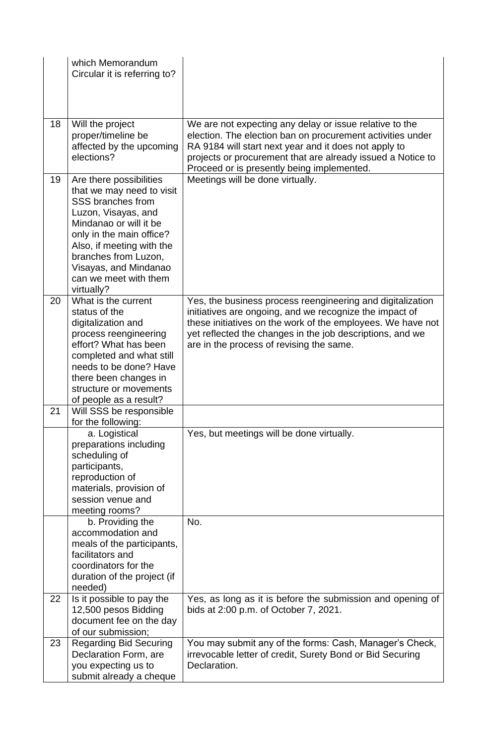|    | which Memorandum<br>Circular it is referring to?                                                                                                                                                                                                                            |                                                                                                                                                                                                                                                                                               |
|----|-----------------------------------------------------------------------------------------------------------------------------------------------------------------------------------------------------------------------------------------------------------------------------|-----------------------------------------------------------------------------------------------------------------------------------------------------------------------------------------------------------------------------------------------------------------------------------------------|
| 18 | Will the project<br>proper/timeline be<br>affected by the upcoming<br>elections?                                                                                                                                                                                            | We are not expecting any delay or issue relative to the<br>election. The election ban on procurement activities under<br>RA 9184 will start next year and it does not apply to<br>projects or procurement that are already issued a Notice to<br>Proceed or is presently being implemented.   |
| 19 | Are there possibilities<br>that we may need to visit<br>SSS branches from<br>Luzon, Visayas, and<br>Mindanao or will it be<br>only in the main office?<br>Also, if meeting with the<br>branches from Luzon,<br>Visayas, and Mindanao<br>can we meet with them<br>virtually? | Meetings will be done virtually.                                                                                                                                                                                                                                                              |
| 20 | What is the current<br>status of the<br>digitalization and<br>process reengineering<br>effort? What has been<br>completed and what still<br>needs to be done? Have<br>there been changes in<br>structure or movements                                                       | Yes, the business process reengineering and digitalization<br>initiatives are ongoing, and we recognize the impact of<br>these initiatives on the work of the employees. We have not<br>yet reflected the changes in the job descriptions, and we<br>are in the process of revising the same. |
| 21 | of people as a result?<br>Will SSS be responsible<br>for the following:                                                                                                                                                                                                     |                                                                                                                                                                                                                                                                                               |
|    | a. Logistical<br>preparations including<br>scheduling of<br>participants,<br>reproduction of<br>materials, provision of<br>session venue and<br>meeting rooms?                                                                                                              | Yes, but meetings will be done virtually.                                                                                                                                                                                                                                                     |
|    | b. Providing the<br>accommodation and<br>meals of the participants,<br>facilitators and<br>coordinators for the<br>duration of the project (if<br>needed)                                                                                                                   | No.                                                                                                                                                                                                                                                                                           |
| 22 | Is it possible to pay the<br>12,500 pesos Bidding<br>document fee on the day<br>of our submission;                                                                                                                                                                          | Yes, as long as it is before the submission and opening of<br>bids at 2:00 p.m. of October 7, 2021.                                                                                                                                                                                           |
| 23 | <b>Regarding Bid Securing</b><br>Declaration Form, are<br>you expecting us to<br>submit already a cheque                                                                                                                                                                    | You may submit any of the forms: Cash, Manager's Check,<br>irrevocable letter of credit, Surety Bond or Bid Securing<br>Declaration.                                                                                                                                                          |